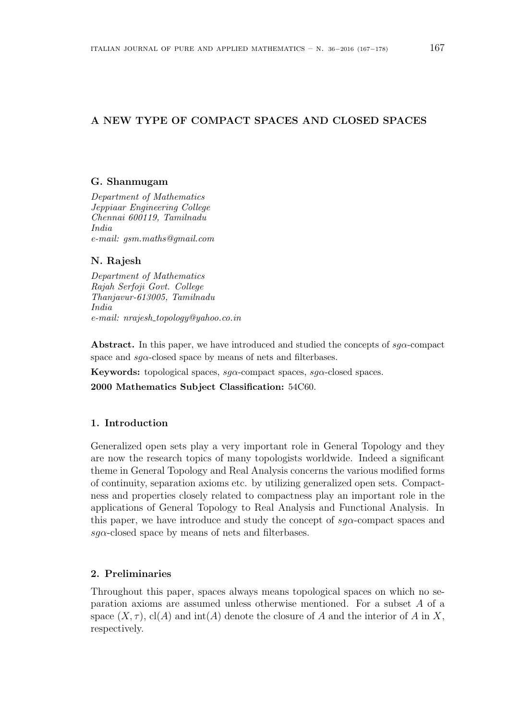# A NEW TYPE OF COMPACT SPACES AND CLOSED SPACES

### G. Shanmugam

Department of Mathematics Jeppiaar Engineering College Chennai 600119, Tamilnadu India e-mail: gsm.maths@gmail.com

## N. Rajesh

Department of Mathematics Rajah Serfoji Govt. College Thanjavur-613005, Tamilnadu India e-mail: nrajesh topology@yahoo.co.in

Abstract. In this paper, we have introduced and studied the concepts of  $sq\alpha$ -compact space and  $sg\alpha$ -closed space by means of nets and filterbases.

**Keywords:** topological spaces,  $sq\alpha$ -compact spaces,  $sq\alpha$ -closed spaces.

2000 Mathematics Subject Classification: 54C60.

## 1. Introduction

Generalized open sets play a very important role in General Topology and they are now the research topics of many topologists worldwide. Indeed a significant theme in General Topology and Real Analysis concerns the various modified forms of continuity, separation axioms etc. by utilizing generalized open sets. Compactness and properties closely related to compactness play an important role in the applications of General Topology to Real Analysis and Functional Analysis. In this paper, we have introduce and study the concept of  $sq\alpha$ -compact spaces and  $sq\alpha$ -closed space by means of nets and filterbases.

#### 2. Preliminaries

Throughout this paper, spaces always means topological spaces on which no separation axioms are assumed unless otherwise mentioned. For a subset A of a space  $(X, \tau)$ , cl(A) and int(A) denote the closure of A and the interior of A in X, respectively.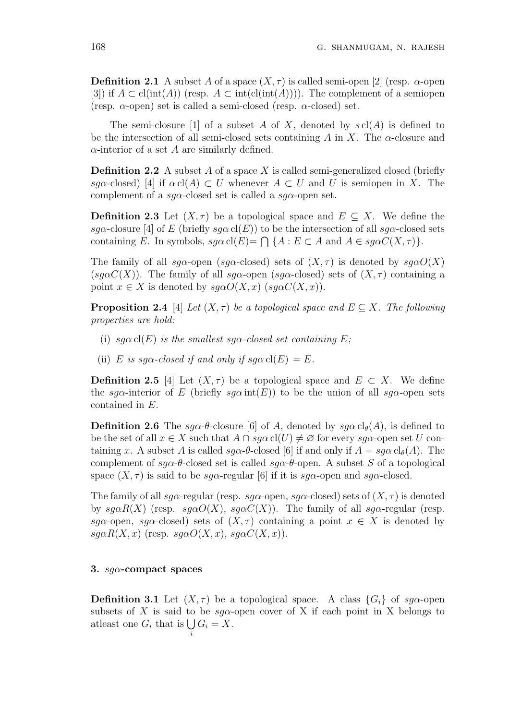**Definition 2.1** A subset A of a space  $(X, \tau)$  is called semi-open [2] (resp.  $\alpha$ -open [3]) if  $A \subset \text{cl(int}(A))$  (resp.  $A \subset \text{int}(\text{cl(int}(A))))$ . The complement of a semiopen (resp.  $\alpha$ -open) set is called a semi-closed (resp.  $\alpha$ -closed) set.

The semi-closure [1] of a subset A of X, denoted by  $s \text{ cl}(A)$  is defined to be the intersection of all semi-closed sets containing A in X. The  $\alpha$ -closure and  $\alpha$ -interior of a set A are similarly defined.

**Definition 2.2** A subset A of a space X is called semi-generalized closed (briefly sga-closed) [4] if  $\alpha$  cl(A)  $\subset U$  whenever  $A \subset U$  and U is semiopen in X. The complement of a sg $\alpha$ -closed set is called a sg $\alpha$ -open set.

**Definition 2.3** Let  $(X, \tau)$  be a topological space and  $E \subseteq X$ . We define the sga-closure [4] of E (briefly  $sg\alpha$  cl(E)) to be the intersection of all  $sg\alpha$ -closed sets sga-crosure [4] or E (priently sgaci(E) to be the intersection of an sga-crosed containing E. In symbols,  $sg\alpha$  cl(E)=  $\bigcap$  {A : E  $\subset$  A and  $A \in sg\alphaC(X, \tau)$  }.

The family of all sq $\alpha$ -open (sq $\alpha$ -closed) sets of  $(X, \tau)$  is denoted by sq $\alpha O(X)$ (sq $\alpha C(X)$ ). The family of all sq $\alpha$ -open (sq $\alpha$ -closed) sets of  $(X, \tau)$  containing a point  $x \in X$  is denoted by  $sq\alpha O(X, x)$  ( $sq\alpha C(X, x)$ ).

**Proposition 2.4** [4] Let  $(X, \tau)$  be a topological space and  $E \subset X$ . The following properties are hold:

- (i) sg $\alpha$  cl(E) is the smallest sg $\alpha$ -closed set containing E;
- (ii) E is sg $\alpha$ -closed if and only if  $sg\alpha$  cl(E) = E.

**Definition 2.5** [4] Let  $(X, \tau)$  be a topological space and  $E \subset X$ . We define the sg $\alpha$ -interior of E (briefly sg $\alpha$  int(E)) to be the union of all sg $\alpha$ -open sets contained in E.

**Definition 2.6** The sq $\alpha$ - $\theta$ -closure [6] of A, denoted by sq $\alpha$  cl<sub> $\theta$ </sub>(A), is defined to be the set of all  $x \in X$  such that  $A \cap sqa \text{ } cl(U) \neq \emptyset$  for every  $sq\alpha$ -open set U containing x. A subset A is called  $sq\alpha$ - $\theta$ -closed [6] if and only if  $A = sq\alpha$  cl<sub> $\theta$ </sub>(A). The complement of  $sq\alpha$ -θ-closed set is called  $sq\alpha$ -θ-open. A subset S of a topological space  $(X, \tau)$  is said to be sg $\alpha$ -regular [6] if it is sg $\alpha$ -open and sg $\alpha$ -closed.

The family of all sq $\alpha$ -regular (resp. sq $\alpha$ -open, sq $\alpha$ -closed) sets of  $(X, \tau)$  is denoted by  $sg\alpha R(X)$  (resp.  $sg\alpha O(X)$ ,  $sg\alpha C(X)$ ). The family of all  $sg\alpha$ -regular (resp. sga-open, sga-closed) sets of  $(X, \tau)$  containing a point  $x \in X$  is denoted by  $sg\alpha R(X, x)$  (resp.  $sg\alpha O(X, x)$ ,  $sg\alpha C(X, x)$ ).

#### 3.  $sq\alpha$ -compact spaces

**Definition 3.1** Let  $(X, \tau)$  be a topological space. A class  $\{G_i\}$  of sg $\alpha$ -open subsets of X is said to be  $sq\alpha$ -open cover of X if each point in X belongs to subsets of  $\Lambda$  is said to<br>atleast one  $G_i$  that is  $\bigcup$ i  $G_i = X$ .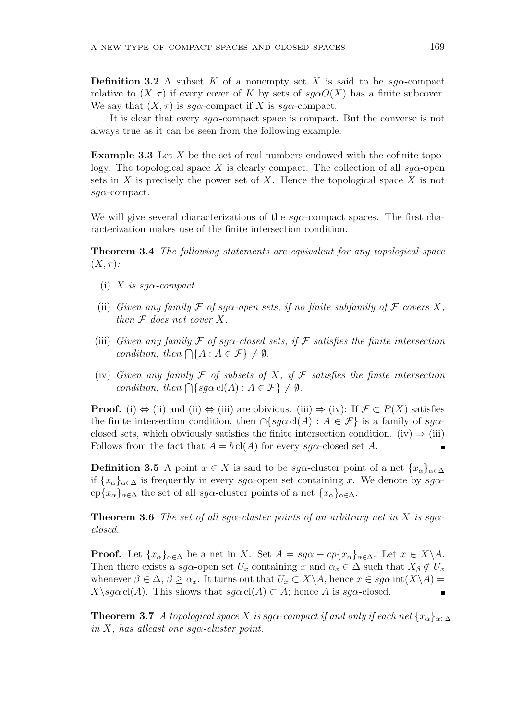**Definition 3.2** A subset K of a nonempty set X is said to be  $sq\alpha$ -compact relative to  $(X, \tau)$  if every cover of K by sets of  $sq\alpha O(X)$  has a finite subcover. We say that  $(X, \tau)$  is sg $\alpha$ -compact if X is sg $\alpha$ -compact.

It is clear that every  $sq\alpha$ -compact space is compact. But the converse is not always true as it can be seen from the following example.

**Example 3.3** Let  $X$  be the set of real numbers endowed with the cofinite topology. The topological space X is clearly compact. The collection of all  $sq\alpha$ -open sets in  $X$  is precisely the power set of  $X$ . Hence the topological space  $X$  is not  $sq\alpha$ -compact.

We will give several characterizations of the  $sg\alpha$ -compact spaces. The first characterization makes use of the finite intersection condition.

Theorem 3.4 The following statements are equivalent for any topological space  $(X,\tau)$ :

- (i) X is sq $\alpha$ -compact.
- (ii) Given any family  $\mathcal F$  of sg $\alpha$ -open sets, if no finite subfamily of  $\mathcal F$  covers X, then  $F$  does not cover X.
- (iii) Given any family F of sq $\alpha$ -closed sets, if F satisfies the finite intersection Given any jamuy  $\mathcal{F}$  of syd-closed.<br>condition, then  $\bigcap \{A : A \in \mathcal{F}\}\neq \emptyset$ .
- (iv) Given any family  $\mathcal F$  of subsets of X, if  $\mathcal F$  satisfies the finite intersection Given any jamily  $\mathcal{F}$  of subsets  $\partial f \times f$ ,  $\partial f$ <br>condition, then  $\bigcap \{sg\alpha \operatorname{cl}(A) : A \in \mathcal{F}\}\neq \emptyset$ .

**Proof.** (i)  $\Leftrightarrow$  (ii) and (ii)  $\Leftrightarrow$  (iii) are obivious. (iii)  $\Rightarrow$  (iv): If  $\mathcal{F} \subset P(X)$  satisfies the finite intersection condition, then  $\cap$ {sg $\alpha$  cl(A) :  $A \in \mathcal{F}$ } is a family of sg $\alpha$ closed sets, which obviously satisfies the finite intersection condition. (iv)  $\Rightarrow$  (iii) Follows from the fact that  $A = b \, cl(A)$  for every sq $\alpha$ -closed set A.  $\blacksquare$ 

**Definition 3.5** A point  $x \in X$  is said to be sga-cluster point of a net  $\{x_\alpha\}_{\alpha \in \Delta}$ if  $\{x_\alpha\}_{\alpha\in\Delta}$  is frequently in every sg $\alpha$ -open set containing x. We denote by sg $\alpha$ - $\text{cp}\{x_{\alpha}\}_{{\alpha}\in\Delta}$  the set of all sg $\alpha$ -cluster points of a net  $\{x_{\alpha}\}_{{\alpha}\in\Delta}$ .

**Theorem 3.6** The set of all sqx-cluster points of an arbitrary net in X is sqxclosed.

**Proof.** Let  $\{x_{\alpha}\}_{{\alpha\in\Delta}}$  be a net in X. Set  $A = sg\alpha - cp\{x_{\alpha}\}_{{\alpha\in\Delta}}$ . Let  $x \in X\backslash A$ . Then there exists a sg $\alpha$ -open set  $U_x$  containing x and  $\alpha_x \in \Delta$  such that  $X_{\beta} \notin U_x$ whenever  $\beta \in \Delta$ ,  $\beta \ge \alpha_x$ . It turns out that  $U_x \subset X \backslash A$ , hence  $x \in sg\alpha$  int $(X \backslash A) =$  $X\geqslant g\alpha$  cl(A). This shows that  $sg\alpha$  cl(A)  $\subset$  A; hence A is  $sg\alpha$ -closed.

**Theorem 3.7** A topological space X is sg $\alpha$ -compact if and only if each net  $\{x_{\alpha}\}_{{\alpha\in\Delta}}$ in X, has atleast one sq $\alpha$ -cluster point.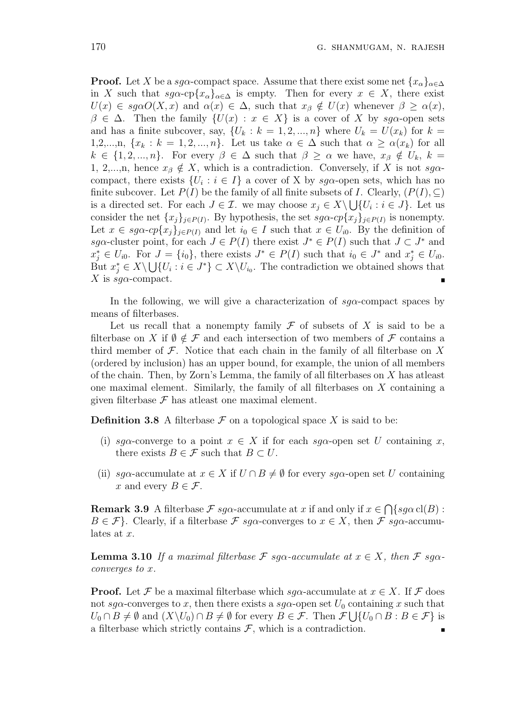**Proof.** Let X be a sg $\alpha$ -compact space. Assume that there exist some net  $\{x_{\alpha}\}_{{\alpha\in\Delta}}$ in X such that  $sg\alpha$ -cp $\{x_\alpha\}_{\alpha\in\Delta}$  is empty. Then for every  $x \in X$ , there exist  $U(x) \in sg\alpha O(X, x)$  and  $\alpha(x) \in \Delta$ , such that  $x_{\beta} \notin U(x)$  whenever  $\beta \geq \alpha(x)$ ,  $\beta \in \Delta$ . Then the family  $\{U(x) : x \in X\}$  is a cover of X by sg $\alpha$ -open sets and has a finite subcover, say,  $\{U_k : k = 1, 2, ..., n\}$  where  $U_k = U(x_k)$  for  $k =$ 1,2,...,n,  $\{x_k : k = 1, 2, ..., n\}$ . Let us take  $\alpha \in \Delta$  such that  $\alpha \geq \alpha(x_k)$  for all  $k \in \{1, 2, ..., n\}$ . For every  $\beta \in \Delta$  such that  $\beta \geq \alpha$  we have,  $x_{\beta} \notin U_k$ ,  $k =$ 1, 2,...,n, hence  $x_{\beta} \notin X$ , which is a contradiction. Conversely, if X is not  $sg\alpha$ compact, there exists  $\{U_i : i \in I\}$  a cover of X by sg $\alpha$ -open sets, which has no finite subcover. Let  $P(I)$  be the family of all finite subsets of I. Clearly,  $(P(I), \subseteq)$ is a directed set. For each  $J \in \mathcal{I}$ . we may choose  $x_j \in X \setminus \bigcup \{U_i : i \in J\}$ . Let us consider the net  $\{x_j\}_{j\in P(I)}$ . By hypothesis, the set  $sg\alpha$ -cp $\{x_j\}_{j\in P(I)}$  is nonempty. Let  $x \in sg\alpha$ -cp $\{x_j\}_{j\in P(I)}$  and let  $i_0 \in I$  such that  $x \in U_{i0}$ . By the definition of sga-cluster point, for each  $J \in P(I)$  there exist  $J^* \in P(I)$  such that  $J \subset J^*$  and  $x_j^* \in U_{i0}$ . For  $J = \{i_0\}$ , there exists  $J^* \in P(I)$  such that  $i_0 \in J^*$  and  $x_j^* \in U_{i0}$ . But  $x_j^* \in X \setminus \bigcup \{U_i : i \in J^*\} \subset X \setminus U_{i_0}$ . The contradiction we obtained shows that X is  $sg\alpha$ -compact.

In the following, we will give a characterization of  $sq\alpha$ -compact spaces by means of filterbases.

Let us recall that a nonempty family  $\mathcal F$  of subsets of X is said to be a filterbase on X if  $\emptyset \notin \mathcal{F}$  and each intersection of two members of  $\mathcal{F}$  contains a third member of  $\mathcal F$ . Notice that each chain in the family of all filterbase on X (ordered by inclusion) has an upper bound, for example, the union of all members of the chain. Then, by Zorn's Lemma, the family of all filterbases on X has atleast one maximal element. Similarly, the family of all filterbases on X containing a given filterbase  $\mathcal F$  has at least one maximal element.

**Definition 3.8** A filterbase  $\mathcal F$  on a topological space X is said to be:

- (i) sg $\alpha$ -converge to a point  $x \in X$  if for each sg $\alpha$ -open set U containing x, there exists  $B \in \mathcal{F}$  such that  $B \subset U$ .
- (ii) sq $\alpha$ -accumulate at  $x \in X$  if  $U \cap B \neq \emptyset$  for every sq $\alpha$ -open set U containing x and every  $B \in \mathcal{F}$ .

**Remark 3.9** A filterbase  $\mathcal{F}$  sg $\alpha$ -accumulate at x if and only if  $x \in \mathcal{F}$  $\overline{a}$  $\{sg\alpha \operatorname{cl}(B):$  $B \in \mathcal{F}$ . Clearly, if a filterbase  $\mathcal{F}$  sq $\alpha$ -converges to  $x \in X$ , then  $\mathcal{F}$  sq $\alpha$ -accumulates at x.

**Lemma 3.10** If a maximal filterbase  $\mathcal{F}$  sq $\alpha$ -accumulate at  $x \in X$ , then  $\mathcal{F}$  sq $\alpha$ converges to x.

**Proof.** Let F be a maximal filterbase which sg $\alpha$ -accumulate at  $x \in X$ . If F does not sg $\alpha$ -converges to x, then there exists a sg $\alpha$ -open set  $U_0$  containing x such that  $U_0 \cap B \neq \emptyset$  and  $(X \setminus U_0) \cap B \neq \emptyset$  for every  $B \in \mathcal{F}$ . Then  $\mathcal{F} \cup \{U_0 \cap B : B \in \mathcal{F}\}\$ is a filterbase which strictly contains  $\mathcal{F}$ , which is a contradiction.  $\blacksquare$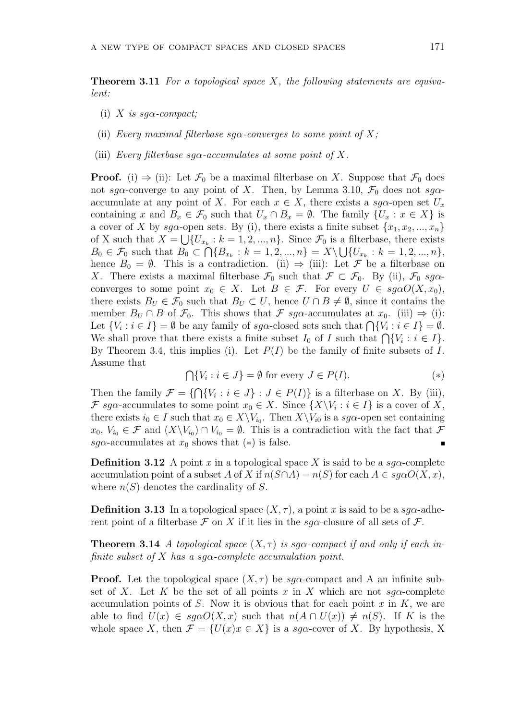**Theorem 3.11** For a topological space X, the following statements are equivalent:

- (i) X is sq $\alpha$ -compact;
- (ii) Every maximal filterbase sq $\alpha$ -converges to some point of X;
- (iii) Every filterbase sq $\alpha$ -accumulates at some point of X.

**Proof.** (i)  $\Rightarrow$  (ii): Let  $\mathcal{F}_0$  be a maximal filterbase on X. Suppose that  $\mathcal{F}_0$  does not sg $\alpha$ -converge to any point of X. Then, by Lemma 3.10,  $\mathcal{F}_0$  does not sg $\alpha$ accumulate at any point of X. For each  $x \in X$ , there exists a sg $\alpha$ -open set  $U_x$ containing x and  $B_x \in \mathcal{F}_0$  such that  $U_x \cap B_x = \emptyset$ . The family  $\{U_x : x \in X\}$  is a cover of X by sg $\alpha$ -open sets. By (i), there exists a finite subset  $\{x_1, x_2, ..., x_n\}$ of X such that  $X = \bigcup \{U_{x_k} : k = 1, 2, ..., n\}$ . Since  $\mathcal{F}_0$  is a filterbase, there exists  $B_0 \in \mathcal{F}_0$  such that  $B_0 \subset \bigcap \{B_{x_k} : k = 1, 2, ..., n\} = X \setminus \bigcup \{U_{x_k} : k = 1, 2, ..., n\},\$ hence  $B_0 = \emptyset$ . This is a contradiction. (ii)  $\Rightarrow$  (iii): Let F be a filterbase on X. There exists a maximal filterbase  $\mathcal{F}_0$  such that  $\mathcal{F} \subset \mathcal{F}_0$ . By (ii),  $\mathcal{F}_0$  sg $\alpha$ converges to some point  $x_0 \in X$ . Let  $B \in \mathcal{F}$ . For every  $U \in \text{sg}\alpha O(X, x_0)$ , there exists  $B_U \in \mathcal{F}_0$  such that  $B_U \subset U$ , hence  $U \cap B \neq \emptyset$ , since it contains the member  $B_U \cap B$  of  $\mathcal{F}_0$ . This shows that  $\mathcal{F}$  sq $\alpha$ -accumulates at  $x_0$ . (iii)  $\Rightarrow$  (i): Let  $\{V_i : i \in I\} = \emptyset$  be any family of sg $\alpha$ -closed sets such that  $\bigcap \{V_i : i \in I\} = \emptyset$ . Let  $\{v_i : i \in I\} = \emptyset$  be any lamity of sga-closed sets such that  $\bigcap \{v_i : i \in I\} = \emptyset$ .<br>We shall prove that there exists a finite subset  $I_0$  of I such that  $\bigcap \{V_i : i \in I\}$ . By Theorem 3.4, this implies (i). Let  $P(I)$  be the family of finite subsets of I. Assume that  $\overline{a}$ 

$$
\bigcap \{V_i : i \in J\} = \emptyset \text{ for every } J \in P(I). \tag{*}
$$

 $\tilde{\phantom{a}}$ Then the family  $\mathcal{F} = \{$  $\{V_i : i \in J\} : J \in P(I)\}$  is a filterbase on X. By (iii), F sg $\alpha$ -accumulates to some point  $x_0 \in X$ . Since  $\{X \setminus V_i : i \in I\}$  is a cover of X, there exists  $i_0 \in I$  such that  $x_0 \in X \backslash V_{i_0}$ . Then  $X \backslash V_{i_0}$  is a sg $\alpha$ -open set containing  $x_0, V_{i_0} \in \mathcal{F}$  and  $(X \setminus V_{i_0}) \cap V_{i_0} = \emptyset$ . This is a contradiction with the fact that  $\mathcal{F}$ sg $\alpha$ -accumulates at  $x_0$  shows that  $(*)$  is false.  $\blacksquare$ 

**Definition 3.12** A point x in a topological space X is said to be a sqq-complete accumulation point of a subset A of X if  $n(S \cap A) = n(S)$  for each  $A \in sq\alpha O(X, x)$ , where  $n(S)$  denotes the cardinality of S.

**Definition 3.13** In a topological space  $(X, \tau)$ , a point x is said to be a sqq-adherent point of a filterbase  $\mathcal F$  on X if it lies in the sq $\alpha$ -closure of all sets of  $\mathcal F$ .

**Theorem 3.14** A topological space  $(X, \tau)$  is sqx-compact if and only if each infinite subset of X has a sq $\alpha$ -complete accumulation point.

**Proof.** Let the topological space  $(X, \tau)$  be sqq-compact and A an infinite subset of X. Let K be the set of all points x in X which are not  $sg\alpha$ -complete accumulation points of S. Now it is obvious that for each point  $x$  in  $K$ , we are able to find  $U(x) \in sq\alpha O(X, x)$  such that  $n(A \cap U(x)) \neq n(S)$ . If K is the whole space X, then  $\mathcal{F} = \{U(x)x \in X\}$  is a sg $\alpha$ -cover of X. By hypothesis, X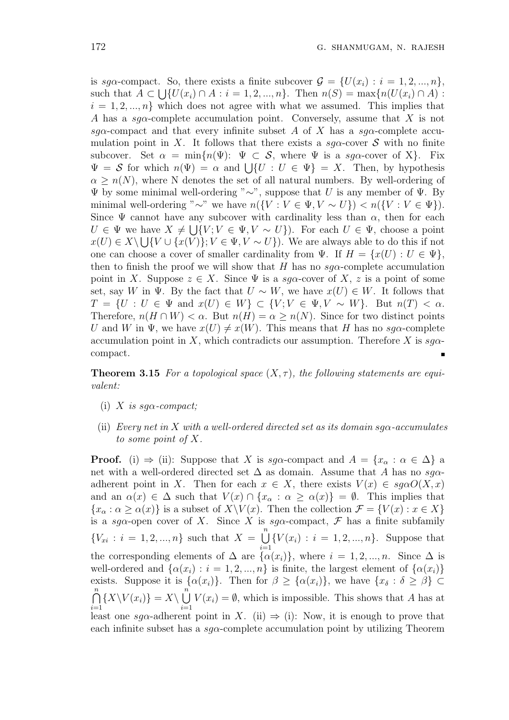is sga-compact. So, there exists a finite subcover  $\mathcal{G} = \{U(x_i) : i = 1, 2, ..., n\},\$ such that  $A \subset \bigcup \{U(x_i) \cap A : i = 1, 2, ..., n\}$ . Then  $n(S) = \max \{n(U(x_i) \cap A) :$  $i = 1, 2, ..., n$  which does not agree with what we assumed. This implies that A has a sq $\alpha$ -complete accumulation point. Conversely, assume that X is not sg $\alpha$ -compact and that every infinite subset A of X has a sg $\alpha$ -complete accumulation point in X. It follows that there exists a sg $\alpha$ -cover S with no finite subcover. Set  $\alpha = \min\{n(\Psi): \Psi \subset \mathcal{S}$ , where  $\Psi$  is a sg $\alpha$ -cover of X. Fix subcover. Set  $\alpha = \min\{n(\Psi) : \Psi \subset S$ , where  $\Psi$  is a sga-cover of  $\Lambda$ . Fix  $\Psi = S$  for which  $n(\Psi) = \alpha$  and  $\bigcup\{U : U \in \Psi\} = X$ . Then, by hypothesis  $\alpha \geq n(N)$ , where N denotes the set of all natural numbers. By well-ordering of Ψ by some minimal well-ordering "∼", suppose that U is any member of Ψ. By minimal well-ordering "∼" we have  $n({V : V \in \Psi, V \sim U}) < n({V : V \in \Psi}).$ Since  $\Psi$  cannot have any subcover with cardinality less than  $\alpha$ , then for each  $U \in \Psi$  we have  $X \neq \bigcup \{V; V \in \Psi, V \sim U\}$ . For each  $U \in \Psi$ , choose a point  $x(U) \in X \setminus \bigcup \{V \cup \{x(V)\}; V \in \Psi, V \sim U\}\big)$ . We are always able to do this if not one can choose a cover of smaller cardinality from  $\Psi$ . If  $H = \{x(U) : U \in \Psi\}$ , then to finish the proof we will show that H has no  $sq\alpha$ -complete accumulation point in X. Suppose  $z \in X$ . Since  $\Psi$  is a sg $\alpha$ -cover of X, z is a point of some set, say W in  $\Psi$ . By the fact that  $U \sim W$ , we have  $x(U) \in W$ . It follows that  $T = \{U : U \in \Psi \text{ and } x(U) \in W\} \subset \{V : V \in \Psi, V \sim W\}.$  But  $n(T) < \alpha$ . Therefore,  $n(H \cap W) < \alpha$ . But  $n(H) = \alpha \geq n(N)$ . Since for two distinct points U and W in  $\Psi$ , we have  $x(U) \neq x(W)$ . This means that H has no sg $\alpha$ -complete accumulation point in X, which contradicts our assumption. Therefore X is  $sq\alpha$ compact.

**Theorem 3.15** For a topological space  $(X, \tau)$ , the following statements are equivalent:

- (i) X is sq $\alpha$ -compact;
- (ii) Every net in X with a well-ordered directed set as its domain sq $\alpha$ -accumulates to some point of X.

**Proof.** (i)  $\Rightarrow$  (ii): Suppose that X is sg $\alpha$ -compact and  $A = \{x_\alpha : \alpha \in \Delta\}$  a net with a well-ordered directed set  $\Delta$  as domain. Assume that A has no sg $\alpha$ adherent point in X. Then for each  $x \in X$ , there exists  $V(x) \in sg\alpha O(X, x)$ and an  $\alpha(x) \in \Delta$  such that  $V(x) \cap \{x_\alpha : \alpha \geq \alpha(x)\} = \emptyset$ . This implies that  ${x<sub>\alpha</sub> : \alpha \ge \alpha(x)}$  is a subset of  $X\Y(x)$ . Then the collection  $\mathcal{F} = \{V(x) : x \in X\}$ is a sg $\alpha$ -open cover of X. Since X is sg $\alpha$ -compact, F has a finite subfamily  ${V_{xi}: i = 1, 2, ..., n}$  such that  $X =$  $\binom{n}{k}$  $i=1$  ${V(x_i) : i = 1, 2, ..., n}.$  Suppose that the corresponding elements of  $\Delta$  are  $\{\alpha(x_i)\}\)$ , where  $i = 1, 2, ..., n$ . Since  $\Delta$  is well-ordered and  $\{\alpha(x_i): i = 1, 2, ..., n\}$  is finite, the largest element of  $\{\alpha(x_i)\}\$ exists. Suppose it is  $\{\alpha(x_i)\}\$ . Then for  $\beta \geq \{\alpha(x_i)\}\$ , we have  $\{x_\delta : \delta \geq \beta\} \subset$  $\frac{n}{2}$  $i=1$  $\{X\backslash V(x_i)\}=X\backslash$  $\sum_{n=1}^{\infty}$  $i=1$  $V(x_i) = \emptyset$ , which is impossible. This shows that A has at least one sq $\alpha$ -adherent point in X. (ii)  $\Rightarrow$  (i): Now, it is enough to prove that each infinite subset has a  $sg\alpha$ -complete accumulation point by utilizing Theorem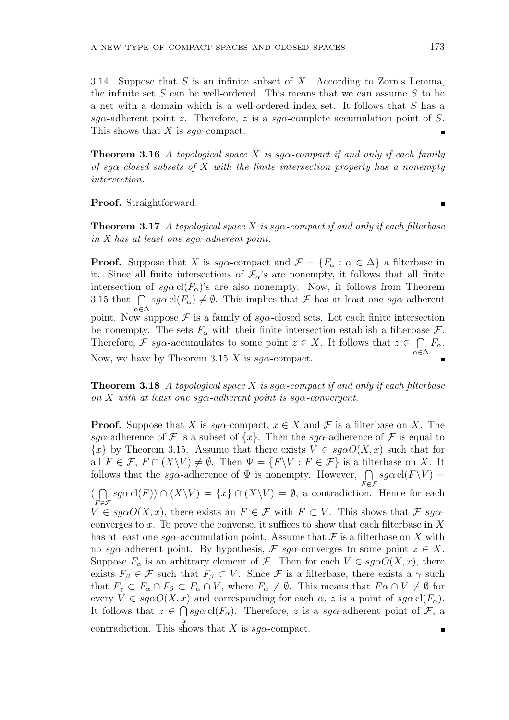3.14. Suppose that  $S$  is an infinite subset of  $X$ . According to Zorn's Lemma, the infinite set  $S$  can be well-ordered. This means that we can assume  $S$  to be a net with a domain which is a well-ordered index set. It follows that S has a sg $\alpha$ -adherent point z. Therefore, z is a sg $\alpha$ -complete accumulation point of S. This shows that X is  $sq\alpha$ -compact.

**Theorem 3.16** A topological space X is sq $\alpha$ -compact if and only if each family of sq $\alpha$ -closed subsets of X with the finite intersection property has a nonempty intersection.

Proof. Straightforward.

**Theorem 3.17** A topological space X is sqq-compact if and only if each filterbase in X has at least one sq $\alpha$ -adherent point.

**Proof.** Suppose that X is  $sg\alpha$ -compact and  $\mathcal{F} = \{F_{\alpha} : \alpha \in \Delta\}$  a filterbase in it. Since all finite intersections of  $\mathcal{F}_{\alpha}$ 's are nonempty, it follows that all finite intersection of  $sg\alpha \, \text{cl}(F_\alpha)$ 's are also nonempty. Now, it follows from Theorem intersection of  $sg\alpha$  cl( $F_{\alpha}$ ) s are also nonempty. Now, it follows from Theorem<br>3.15 that  $\bigcap sg\alpha$  cl( $F_{\alpha}$ )  $\neq \emptyset$ . This implies that  $\mathcal F$  has at least one  $sg\alpha$ -adherent α∈∆ point. Now suppose  $\mathcal F$  is a family of  $sg\alpha$ -closed sets. Let each finite intersection be nonempty. The sets  $F_{\alpha}$  with their finite intersection establish a filterbase  $\mathcal{F}_{\alpha}$ . Therefore, F sg $\alpha$ -accumulates to some point  $z \in X$ . It follows that  $z \in \bigcap F_{\alpha}$ . α∈∆ Now, we have by Theorem 3.15 X is  $sq\alpha$ -compact.

**Theorem 3.18** A topological space X is sg $\alpha$ -compact if and only if each filterbase on X with at least one sq $\alpha$ -adherent point is sq $\alpha$ -convergent.

**Proof.** Suppose that X is  $sq\alpha$ -compact,  $x \in X$  and F is a filterbase on X. The sga-adherence of F is a subset of  $\{x\}$ . Then the sga-adherence of F is equal to  ${x}$  by Theorem 3.15. Assume that there exists  $V \in sg\alphaO(X, x)$  such that for all  $F \in \mathcal{F}$ ,  $F \cap (X \backslash V) \neq \emptyset$ . Then  $\Psi = \{F \backslash V : F \in \mathcal{F}\}$  is a filterbase on X. It follows that the sg $\alpha$ -adherence of  $\Psi$  is nonempty. However,  $\bigcap$  sg $\alpha$  cl(F\V) =  $\overline{a}$  $F \in \mathcal{F}$ (  $sg\alpha \, \text{cl}(F)$ )  $\cap$   $(X\backslash V) = \{x\} \cap (X\backslash V) = \emptyset$ , a contradiction. Hence for each  $F \in \mathcal{F}$  $V \in sqaO(X, x)$ , there exists an  $F \in \mathcal{F}$  with  $F \subset V$ . This shows that  $\mathcal{F} sqa$ converges to x. To prove the converse, it suffices to show that each filterbase in  $X$ has at least one sg $\alpha$ -accumulation point. Assume that  $\mathcal F$  is a filterbase on X with no sg $\alpha$ -adherent point. By hypothesis,  $\mathcal F$  sg $\alpha$ -converges to some point  $z \in X$ . Suppose  $F_{\alpha}$  is an arbitrary element of  $\mathcal{F}$ . Then for each  $V \in sg\alpha O(X, x)$ , there exists  $F_{\beta} \in \mathcal{F}$  such that  $F_{\beta} \subset V$ . Since  $\mathcal{F}$  is a filterbase, there exists a  $\gamma$  such that  $F_{\gamma} \subset F_{\alpha} \cap F_{\beta} \subset F_{\alpha} \cap V$ , where  $F_{\alpha} \neq \emptyset$ . This means that  $F_{\alpha} \cap V \neq \emptyset$  for every  $V \in \text{sg}\alpha O(X, x)$  and corresponding for each  $\alpha$ , z is a point of  $\text{sg}\alpha \text{ cl}(F_{\alpha})$ . It follows that  $z \in \bigcap s g \alpha \operatorname{cl}(F_\alpha)$ . Therefore, z is a sg $\alpha$ -adherent point of F, a contradiction. This shows that X is  $sg\alpha$ -compact.  $\blacksquare$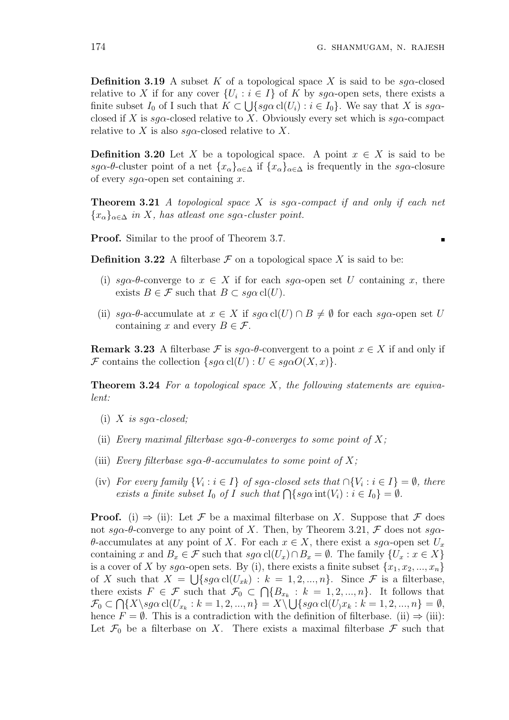$\blacksquare$ 

**Definition 3.19** A subset K of a topological space X is said to be  $sq\alpha$ -closed relative to X if for any cover  $\{U_i : i \in I\}$  of K by sg $\alpha$ -open sets, there exists a finite subset  $I_0$  of I such that  $K \subset \bigcup \{sg\alpha \operatorname{cl}(U_i) : i \in I_0\}$ . We say that X is  $sg\alpha$ closed if X is sg $\alpha$ -closed relative to X. Obviously every set which is sg $\alpha$ -compact relative to X is also sq $\alpha$ -closed relative to X.

**Definition 3.20** Let X be a topological space. A point  $x \in X$  is said to be sgα-θ-cluster point of a net  $\{x_\alpha\}_{\alpha\in\Delta}$  if  $\{x_\alpha\}_{\alpha\in\Delta}$  is frequently in the sga-closure of every  $sq\alpha$ -open set containing x.

**Theorem 3.21** A topological space X is sq $\alpha$ -compact if and only if each net  ${x_{\alpha}}_{\alpha\in\Delta}$  in X, has atleast one sg $\alpha$ -cluster point.

Proof. Similar to the proof of Theorem 3.7.

**Definition 3.22** A filterbase  $\mathcal F$  on a topological space X is said to be:

- (i) sg $\alpha$ - $\theta$ -converge to  $x \in X$  if for each sg $\alpha$ -open set U containing x, there exists  $B \in \mathcal{F}$  such that  $B \subset \text{sg}\alpha$  cl(U).
- (ii)  $sq\alpha$ - $\theta$ -accumulate at  $x \in X$  if  $sq\alpha$  cl(U)  $\cap$   $B \neq \emptyset$  for each sq $\alpha$ -open set U containing x and every  $B \in \mathcal{F}$ .

**Remark 3.23** A filterbase F is  $sq\alpha$ -θ-convergent to a point  $x \in X$  if and only if F contains the collection  $\{sg\alpha \text{ } cl(U) : U \in sg\alpha O(X, x)\}.$ 

**Theorem 3.24** For a topological space  $X$ , the following statements are equivalent:

- (i) X is sq $\alpha$ -closed;
- (ii) Every maximal filterbase  $sq\alpha$ - $\theta$ -converges to some point of X;
- (iii) Every filterbase  $sq\alpha$ -θ-accumulates to some point of X;
- (iv) For every family  $\{V_i : i \in I\}$  of sg $\alpha$ -closed sets that  $\cap \{V_i : i \in I\} = \emptyset$ , there For every jamuy  $\{v_i : i \in I\}$  of  $I$  such that  $\bigcap \{sg\alpha \text{ int}(V_i) : i \in I_0\} = \emptyset$ .<br>exists a finite subset  $I_0$  of  $I$  such that  $\bigcap \{sg\alpha \text{ int}(V_i) : i \in I_0\} = \emptyset$ .

**Proof.** (i)  $\Rightarrow$  (ii): Let F be a maximal filterbase on X. Suppose that F does not sg $\alpha$ -θ-converge to any point of X. Then, by Theorem 3.21,  $\mathcal F$  does not sg $\alpha$ θ-accumulates at any point of X. For each  $x \in X$ , there exist a sgα-open set  $U_x$ containing x and  $B_x \in \mathcal{F}$  such that  $sg\alpha \operatorname{cl}(U_x) \cap B_x = \emptyset$ . The family  $\{U_x : x \in X\}$ is a cover of X by  $sg\alpha$ -open sets. By (i), there exists a finite subset  $\{x_1, x_2, ..., x_n\}$ of X such that  $X = \bigcup \{ sg\alpha \text{ cl}(U_{xk}) : k = 1, 2, ..., n \}.$  Since F is a filterbase, there exists  $F \in \mathcal{F}$  such that  $\mathcal{F}_0 \subset \bigcap \{B_{x_k} : k = 1, 2, ..., n\}$ . It follows that  $\mathcal{F}_0 \subset \bigcap \{X \setminus sg\alpha \text{ cl } (U_{x_k}: k = 1, 2, ..., n\} = X \setminus \bigcup \{sg\alpha \text{ cl }(U_{j}x_k: k = 1, 2, ..., n\} = \emptyset,$ hence  $F = \emptyset$ . This is a contradiction with the definition of filterbase. (ii)  $\Rightarrow$  (iii): Let  $\mathcal{F}_0$  be a filterbase on X. There exists a maximal filterbase  $\mathcal F$  such that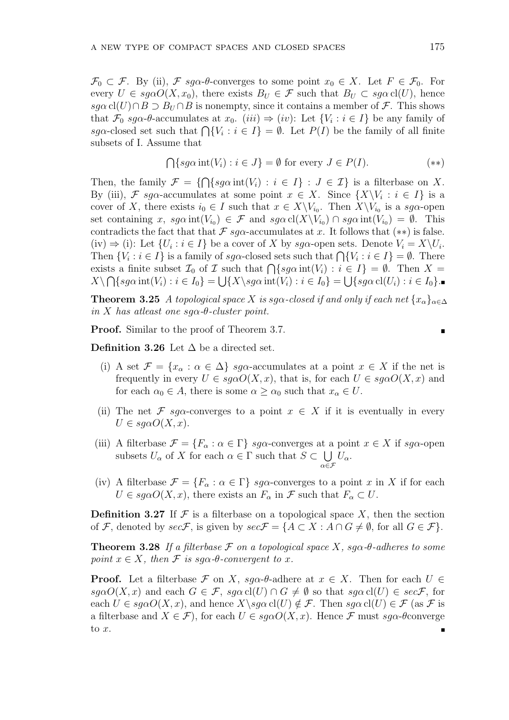$\mathcal{F}_0 \subset \mathcal{F}$ . By (ii),  $\mathcal{F}$  sg $\alpha$ - $\theta$ -converges to some point  $x_0 \in X$ . Let  $F \in \mathcal{F}_0$ . For every  $U \in sg\alpha O(X, x_0)$ , there exists  $B_U \in \mathcal{F}$  such that  $B_U \subset sg\alpha \text{ cl}(U)$ , hence  $sg\alpha$  cl(U)∩B  $\supset$  B<sub>U</sub> ∩B is nonempty, since it contains a member of F. This shows that  $\mathcal{F}_0$  sg $\alpha$ - $\theta$ -accumulates at  $x_0$ . (iii)  $\Rightarrow$  (iv): Let  $\{V_i : i \in I\}$  be any family of  $s g\alpha$ -closed set such that  $\bigcap \{V_i : i \in I\} = \emptyset$ . Let  $\{V_i : i \in I\}$  be any laminy of  $s g\alpha$ -closed set such that  $\bigcap \{V_i : i \in I\} = \emptyset$ . Let  $P(I)$  be the family of all finite subsets of I. Assume that

$$
\bigcap \{ sg\alpha \operatorname{int}(V_i) : i \in J \} = \emptyset \text{ for every } J \in P(I). \tag{**}
$$

Then, the family  $\mathcal{F} = \{$  $\overline{a}$  $\{sg\alpha\operatorname{int}(V_i) : i \in I\} : J \in \mathcal{I}\}\$ is a filterbase on X. By (iii), F sg $\alpha$ -accumulates at some point  $x \in X$ . Since  $\{X \setminus V_i : i \in I\}$  is a cover of X, there exists  $i_0 \in I$  such that  $x \in X \backslash V_{i_0}$ . Then  $X \backslash V_{i_0}$  is a sg $\alpha$ -open set containing x,  $sg\alpha \operatorname{int}(V_{i_0}) \in \mathcal{F}$  and  $sg\alpha \operatorname{cl}(X \backslash V_{i_0}) \cap sg\alpha \operatorname{int}(V_{i_0}) = \emptyset$ . This contradicts the fact that that  $\mathcal F$  sq $\alpha$ -accumulates at x. It follows that  $(**)$  is false. (iv)  $\Rightarrow$  (i): Let  $\{U_i : i \in I\}$  be a cover of X by sg $\alpha$ -open sets. Denote  $V_i = X \setminus U_i$ . (iv)  $\Rightarrow$  (i): Let  $\{U_i : i \in I\}$  be a cover of  $\Lambda$  by sg $\alpha$ -open sets. Denote  $V_i = \Lambda \setminus U_i$ .<br>Then  $\{V_i : i \in I\}$  is a family of sg $\alpha$ -closed sets such that  $\bigcap \{V_i : i \in I\} = \emptyset$ . There Then  $\{v_i : i \in I\}$  is a family of  $sg\alpha$ -closed sets such that  $\bigcap \{v_i : i \in I\} = \emptyset$ . Then  $X = X$  is a finite subset  $\mathcal{I}_0$  of  $\mathcal I$  such that  $\bigcap \{sg\alpha \text{ int}(V_i) : i \in I\} = \emptyset$ . Then  $X = X$  $X \setminus \bigcap \{ sg\alpha \operatorname{int}(V_i) : i \in I_0 \} = \bigcup \{ X \setminus sg\alpha \operatorname{int}(V_i) : i \in I_0 \} = \bigcup \{ sg\alpha \operatorname{cl}(U_i) : i \in I_0 \}.$ 

**Theorem 3.25** A topological space X is sq $\alpha$ -closed if and only if each net  $\{x_{\alpha}\}_{{\alpha\in\Delta}}$ in X has atleast one sq $\alpha$ -θ-cluster point.

Proof. Similar to the proof of Theorem 3.7.

Definition 3.26 Let  $\Delta$  be a directed set.

- (i) A set  $\mathcal{F} = \{x_\alpha : \alpha \in \Delta\}$  sg $\alpha$ -accumulates at a point  $x \in X$  if the net is frequently in every  $U \in sg\alpha O(X, x)$ , that is, for each  $U \in sg\alpha O(X, x)$  and for each  $\alpha_0 \in A$ , there is some  $\alpha \ge \alpha_0$  such that  $x_\alpha \in U$ .
- (ii) The net F sq $\alpha$ -converges to a point  $x \in X$  if it is eventually in every  $U \in sg\alpha O(X, x).$
- (iii) A filterbase  $\mathcal{F} = \{F_{\alpha} : \alpha \in \Gamma\}$  sg $\alpha$ -converges at a point  $x \in X$  if sg $\alpha$ -open subsets  $U_{\alpha}$  of X for each  $\alpha \in \Gamma$  such that  $S \subset$  $\alpha \in \mathcal{F}$  $U_{\alpha}$ .
- (iv) A filterbase  $\mathcal{F} = \{F_{\alpha} : \alpha \in \Gamma\}$  sg $\alpha$ -converges to a point x in X if for each  $U \in s g \alpha O(X, x)$ , there exists an  $F_{\alpha}$  in  $\mathcal F$  such that  $F_{\alpha} \subset U$ .

**Definition 3.27** If  $\mathcal F$  is a filterbase on a topological space X, then the section of F, denoted by  $sec\mathcal{F}$ , is given by  $sec\mathcal{F} = \{A \subset X : A \cap G \neq \emptyset$ , for all  $G \in \mathcal{F}\}.$ 

**Theorem 3.28** If a filterbase  $\mathcal F$  on a topological space X, sq $\alpha$ -θ-adheres to some point  $x \in X$ , then F is sq $\alpha$ -θ-convergent to x.

**Proof.** Let a filterbase  $\mathcal F$  on X, sq $\alpha$ -θ-adhere at  $x \in X$ . Then for each  $U \in$  $sg\alpha O(X, x)$  and each  $G \in \mathcal{F}$ ,  $sg\alpha \, \mathrm{cl}(U) \cap G \neq \emptyset$  so that  $sg\alpha \, \mathrm{cl}(U) \in sec\mathcal{F}$ , for each  $U \in \text{sq}\alpha O(X, x)$ , and hence  $X \setminus \text{sq}\alpha$  cl(U)  $\notin \mathcal{F}$ . Then  $\text{sq}\alpha$  cl(U)  $\in \mathcal{F}$  (as  $\mathcal{F}$  is a filterbase and  $X \in \mathcal{F}$ , for each  $U \in sq\alpha O(X, x)$ . Hence  $\mathcal F$  must  $sq\alpha$ - $\theta$ converge to  $x$ .

 $\blacksquare$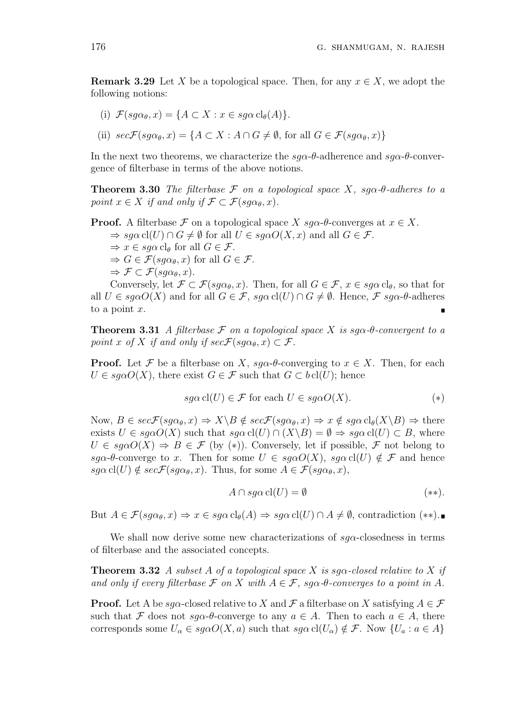**Remark 3.29** Let X be a topological space. Then, for any  $x \in X$ , we adopt the following notions:

- (i)  $\mathcal{F}(sg\alpha_{\theta}, x) = \{A \subset X : x \in sg\alpha \operatorname{cl}_{\theta}(A)\}.$
- (ii)  $\sec\mathcal{F}(sg\alpha_{\theta}, x) = \{A \subset X : A \cap G \neq \emptyset, \text{ for all } G \in \mathcal{F}(sg\alpha_{\theta}, x)\}\$

In the next two theorems, we characterize the  $sg\alpha$ -θ-adherence and  $sg\alpha$ -θ-convergence of filterbase in terms of the above notions.

**Theorem 3.30** The filterbase  $\mathcal F$  on a topological space X, sg $\alpha$ -θ-adheres to a point  $x \in X$  if and only if  $\mathcal{F} \subset \mathcal{F}(sq\alpha_{\theta}, x)$ .

**Proof.** A filterbase F on a topological space X  $sg\alpha$ - $\theta$ -converges at  $x \in X$ .

 $\Rightarrow$  sg $\alpha$  cl(U)  $\cap$  G  $\neq$   $\emptyset$  for all  $U \in \text{sg}\alpha O(X, x)$  and all  $G \in \mathcal{F}$ .

- $\Rightarrow x \in \text{sq}\alpha$  cl<sub>θ</sub> for all  $G \in \mathcal{F}$ .
- $\Rightarrow G \in \mathcal{F}(sq\alpha_{\theta},x)$  for all  $G \in \mathcal{F}.$

$$
\Rightarrow \mathcal{F} \subset \mathcal{F}(sg\alpha_{\theta}, x).
$$

Conversely, let  $\mathcal{F} \subset \mathcal{F}(s g \alpha_{\theta}, x)$ . Then, for all  $G \in \mathcal{F}$ ,  $x \in sg \alpha$  cl<sub> $\theta$ </sub>, so that for all  $U \in \text{sq}\alpha O(X)$  and for all  $G \in \mathcal{F}$ ,  $\text{sq}\alpha$  cl(U)  $\cap G \neq \emptyset$ . Hence,  $\mathcal{F}$  sq $\alpha$ - $\theta$ -adheres to a point  $x$ .

**Theorem 3.31** A filterbase  $\mathcal F$  on a topological space X is sg $\alpha$ -θ-convergent to a point x of X if and only if  $sec\mathcal{F}(sq\alpha_{\theta},x) \subset \mathcal{F}$ .

**Proof.** Let F be a filterbase on X,  $sq\alpha$ - $\theta$ -converging to  $x \in X$ . Then, for each  $U \in \text{sga}O(X)$ , there exist  $G \in \mathcal{F}$  such that  $G \subset \text{bel}(U)$ ; hence

$$
sg\alpha \, \text{cl}(U) \in \mathcal{F} \text{ for each } U \in sg\alpha O(X). \tag{*}
$$

Now,  $B \in \mathit{sec}F(\mathit{sq}\alpha_\theta, x) \Rightarrow X \setminus B \notin \mathit{sec}F(\mathit{sq}\alpha_\theta, x) \Rightarrow x \notin \mathit{sq}\alpha \mathrm{cl}_\theta(X \setminus B) \Rightarrow$  there exists  $U \in \text{sg}\alpha O(X)$  such that  $\text{sg}\alpha \text{cl}(U) \cap (X \backslash B) = \emptyset \Rightarrow \text{sg}\alpha \text{cl}(U) \subset B$ , where  $U \in \text{sq}\alpha O(X) \Rightarrow B \in \mathcal{F}$  (by (\*)). Conversely, let if possible,  $\mathcal{F}$  not belong to sg $\alpha$ -θ-converge to x. Then for some  $U \in sg\alpha O(X)$ , sg $\alpha$  cl(U)  $\notin \mathcal{F}$  and hence  $sg\alpha \, \text{cl}(U) \notin sec\mathcal{F}(sg\alpha_{\theta}, x)$ . Thus, for some  $A \in \mathcal{F}(sg\alpha_{\theta}, x)$ ,

$$
A \cap s g \alpha \operatorname{cl}(U) = \emptyset \tag{**}.
$$

But  $A \in \mathcal{F}(sq\alpha_{\theta}, x) \Rightarrow x \in sg\alpha \text{ cl}_{\theta}(A) \Rightarrow sg\alpha \text{ cl}(U) \cap A \neq \emptyset$ , contradiction  $(**)$ .

We shall now derive some new characterizations of  $sq\alpha$ -closedness in terms of filterbase and the associated concepts.

**Theorem 3.32** A subset A of a topological space X is sq $\alpha$ -closed relative to X if and only if every filterbase  $\mathcal F$  on  $X$  with  $A \in \mathcal F$ , sg $\alpha$ - $\theta$ -converges to a point in  $A$ .

**Proof.** Let A be sq $\alpha$ -closed relative to X and F a filterbase on X satisfying  $A \in \mathcal{F}$ such that F does not  $sq\alpha$ - $\theta$ -converge to any  $a \in A$ . Then to each  $a \in A$ , there corresponds some  $U_{\alpha} \in sg\alpha O(X, a)$  such that  $sg\alpha \, cl(U_{\alpha}) \notin \mathcal{F}$ . Now  $\{U_a : a \in A\}$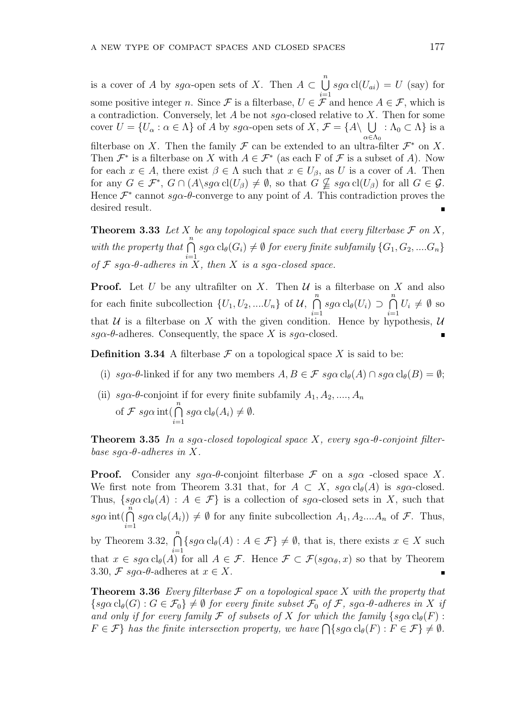is a cover of A by sg $\alpha$ -open sets of X. Then  $A \subset$  $\binom{n}{k}$  $i=1$  $sg\alpha \, \text{cl}(U_{ai}) = U \, \text{(say)} \text{ for}$ some positive integer n. Since F is a filterbase,  $U \in \mathcal{F}$  and hence  $A \in \mathcal{F}$ , which is a contradiction. Conversely, let A be not  $sg\alpha$ -closed relative to X. Then for some cover  $U = \{U_\alpha : \alpha \in \Lambda\}$  of A by sg $\alpha$ -open sets of  $X, \mathcal{F} = \{A \setminus \bigcup \Lambda_0 \subset \Lambda\}$  is a  $\alpha \in \Lambda_0$ filterbase on X. Then the family  $\mathcal F$  can be extended to an ultra-filter  $\mathcal F^*$  on X. Then  $\mathcal{F}^*$  is a filterbase on X with  $A \in \mathcal{F}^*$  (as each F of  $\mathcal{F}$  is a subset of A). Now for each  $x \in A$ , there exist  $\beta \in \Lambda$  such that  $x \in U_\beta$ , as U is a cover of A. Then for any  $G \in \mathcal{F}^*, G \cap (A \backslash sg\alpha \text{ cl}(U_\beta) \neq \emptyset,$  so that  $G \nsubseteq sg\alpha \text{ cl}(U_\beta)$  for all  $G \in \mathcal{G}$ . Hence  $\mathcal{F}^*$  cannot sg $\alpha$ - $\theta$ -converge to any point of A. This contradiction proves the desired result.

**Theorem 3.33** Let X be any topological space such that every filterbase  $\mathcal F$  on X, with the property that  $\bigcap^{n}$  $i=1$  $sg\alpha \operatorname{cl}_{\theta}(G_i) \neq \emptyset$  for every finite subfamily  $\{G_1, G_2, .... G_n\}$ of  $\mathcal F$  sg $\alpha$ - $\theta$ -adheres in X, then X is a sg $\alpha$ -closed space.

**Proof.** Let U be any ultrafilter on X. Then  $\mathcal U$  is a filterbase on X and also for each finite subcollection  $\{U_1, U_2, \dots, U_n\}$  of  $\mathcal{U}$ ,  $\sum_{n=1}^{\infty}$  $i=1$  $sg\alpha \operatorname{cl}_{\theta}(U_i) \supset$  $\sum_{n=1}^{\infty}$  $i=1$  $U_i \neq \emptyset$  so that  $U$  is a filterbase on X with the given condition. Hence by hypothesis,  $U$ sg $\alpha$ -θ-adheres. Consequently, the space X is sg $\alpha$ -closed.

**Definition 3.34** A filterbase  $\mathcal F$  on a topological space X is said to be:

- (i)  $sg\alpha$ -θ-linked if for any two members  $A, B \in \mathcal{F}$   $sg\alpha \operatorname{cl}_{\theta}(A) \cap sg\alpha \operatorname{cl}_{\theta}(B) = \emptyset;$
- (ii)  $sg\alpha$ - $\theta$ -conjoint if for every finite subfamily  $A_1, A_2, ..., A_n$ of  $\mathcal F$  sg $\alpha$  int( $\bigcap^n$  $i=1$  $sg\alpha \operatorname{cl}_{\theta}(A_i) \neq \emptyset.$

**Theorem 3.35** In a sg $\alpha$ -closed topological space X, every sg $\alpha$ -θ-conjoint filterbase sq $\alpha$ - $\theta$ -adheres in X.

**Proof.** Consider any  $sa\alpha$ - $\theta$ -conjoint filterbase  $\mathcal F$  on a  $sa\alpha$  -closed space X. We first note from Theorem 3.31 that, for  $A \subset X$ ,  $sg\alpha \text{ cl}_{\theta}(A)$  is  $sg\alpha$ -closed. Thus,  $\{sg\alpha \operatorname{cl}_{\theta}(A) : A \in \mathcal{F}\}\$ is a collection of  $sg\alpha$ -closed sets in X, such that  $sg\alpha$  int(  $sg\alpha \, \mathrm{cl}_{\theta}(A_i)) \neq \emptyset$  for any finite subcollection  $A_1, A_2,...A_n$  of  $\mathcal{F}$ . Thus,  $i=1$ by Theorem 3.32,  $\bigcap^{n}$  $\{sg\alpha \operatorname{cl}_{\theta}(A) : A \in \mathcal{F}\}\neq \emptyset$ , that is, there exists  $x \in X$  such  $i=1$ that  $x \in sg\alpha \text{ cl}_{\theta}(A)$  for all  $A \in \mathcal{F}$ . Hence  $\mathcal{F} \subset \mathcal{F}(sg\alpha_{\theta}, x)$  so that by Theorem 3.30,  $\mathcal{F}$  sg $\alpha$ - $\theta$ -adheres at  $x \in X$ .  $\blacksquare$ 

**Theorem 3.36** Every filterbase  $\mathcal F$  on a topological space  $X$  with the property that  ${s q \alpha \operatorname{cl}_{\theta}(G) : G \in \mathcal{F}_0} \neq \emptyset$  for every finite subset  $\mathcal{F}_0$  of  $\mathcal{F}$ , sq $\alpha$ -θ-adheres in X if and only if for every family F of subsets of X for which the family  $\{sg\alpha \text{ cl}_{\theta}(F) :$ and only if for every family  $\mathcal F$  of subsets of  $\Lambda$  for which the family  $\{sg\alpha c l_{\theta}(F):\ F\in\mathcal F\}$  has the finite intersection property, we have  $\bigcap \{sg\alpha c l_{\theta}(F): F\in\mathcal F\}\neq\emptyset$ .